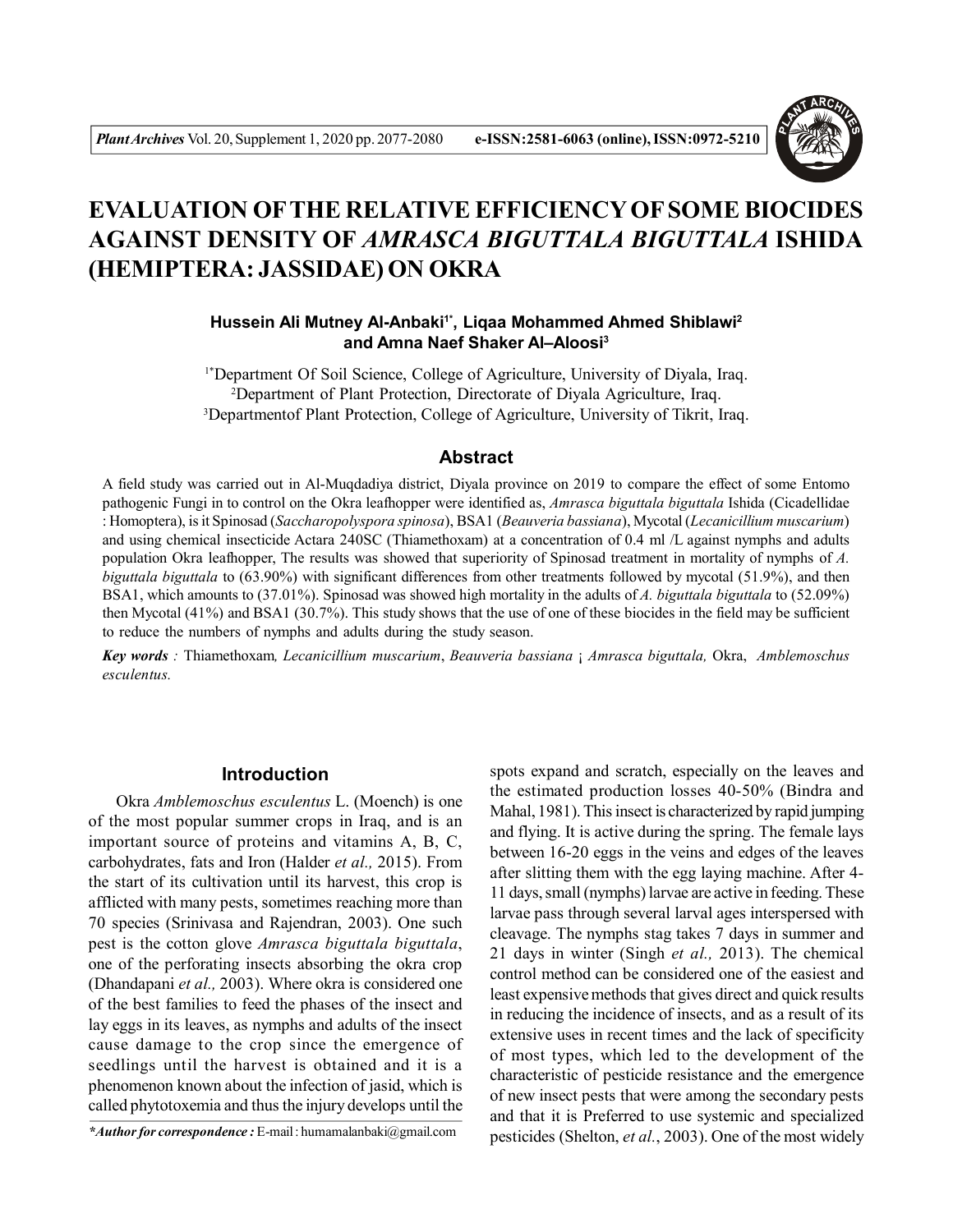

# **EVALUATION OFTHE RELATIVE EFFICIENCY OF SOME BIOCIDES AGAINST DENSITY OF** *AMRASCA BIGUTTALA BIGUTTALA* **ISHIDA (HEMIPTERA: JASSIDAE) ON OKRA**

**Hussein Ali Mutney Al-Anbaki1\*, Liqaa Mohammed Ahmed Shiblawi<sup>2</sup> and Amna Naef Shaker Al–Aloosi<sup>3</sup>**

1\*Department Of Soil Science, College of Agriculture, University of Diyala, Iraq. <sup>2</sup>Department of Plant Protection, Directorate of Diyala Agriculture, Iraq. <sup>3</sup>Departmentof Plant Protection, College of Agriculture, University of Tikrit, Iraq.

#### **Abstract**

A field study was carried out in Al-Muqdadiya district, Diyala province on 2019 to compare the effect of some Entomo pathogenic Fungi in to control on the Okra leafhopper were identified as, *Amrasca biguttala biguttala* Ishida (Cicadellidae : Homoptera), is it Spinosad (*Saccharopolyspora spinosa*), BSA1 (*Beauveria bassiana*), Mycotal (*Lecanicillium muscarium*) and using chemical insecticide Actara 240SC (Thiamethoxam) at a concentration of 0.4 ml /L against nymphs and adults population Okra leafhopper, The results was showed that superiority of Spinosad treatment in mortality of nymphs of *A. biguttala biguttala* to (63.90%) with significant differences from other treatments followed by mycotal (51.9%), and then BSA1, which amounts to (37.01%). Spinosad was showed high mortality in the adults of *A. biguttala biguttala* to (52.09%) then Mycotal (41%) and BSA1 (30.7%). This study shows that the use of one of these biocides in the field may be sufficient to reduce the numbers of nymphs and adults during the study season.

*Key words :* Thiamethoxam*, Lecanicillium muscarium*, *Beauveria bassiana* ¡ *Amrasca biguttala,* Okra, *Amblemoschus esculentus.*

# **Introduction**

Okra *Amblemoschus esculentus* L. (Moench) is one of the most popular summer crops in Iraq, and is an important source of proteins and vitamins A, B, C, carbohydrates, fats and Iron (Halder *et al.,* 2015). From the start of its cultivation until its harvest, this crop is afflicted with many pests, sometimes reaching more than 70 species (Srinivasa and Rajendran, 2003). One such pest is the cotton glove *Amrasca biguttala biguttala*, one of the perforating insects absorbing the okra crop (Dhandapani *et al.,* 2003). Where okra is considered one of the best families to feed the phases of the insect and lay eggs in its leaves, as nymphs and adults of the insect cause damage to the crop since the emergence of seedlings until the harvest is obtained and it is a phenomenon known about the infection of jasid, which is called phytotoxemia and thus the injury develops until the

*\*Author for correspondence :* E-mail : humamalanbaki@gmail.com

spots expand and scratch, especially on the leaves and the estimated production losses 40-50% (Bindra and Mahal, 1981). This insect is characterized by rapid jumping and flying. It is active during the spring. The female lays between 16-20 eggs in the veins and edges of the leaves after slitting them with the egg laying machine. After 4- 11 days, small (nymphs) larvae are active in feeding. These larvae pass through several larval ages interspersed with cleavage. The nymphs stag takes 7 days in summer and 21 days in winter (Singh *et al.,* 2013). The chemical control method can be considered one of the easiest and least expensive methods that gives direct and quick results in reducing the incidence of insects, and as a result of its extensive uses in recent times and the lack of specificity of most types, which led to the development of the characteristic of pesticide resistance and the emergence of new insect pests that were among the secondary pests and that it is Preferred to use systemic and specialized pesticides (Shelton, *et al.*, 2003). One of the most widely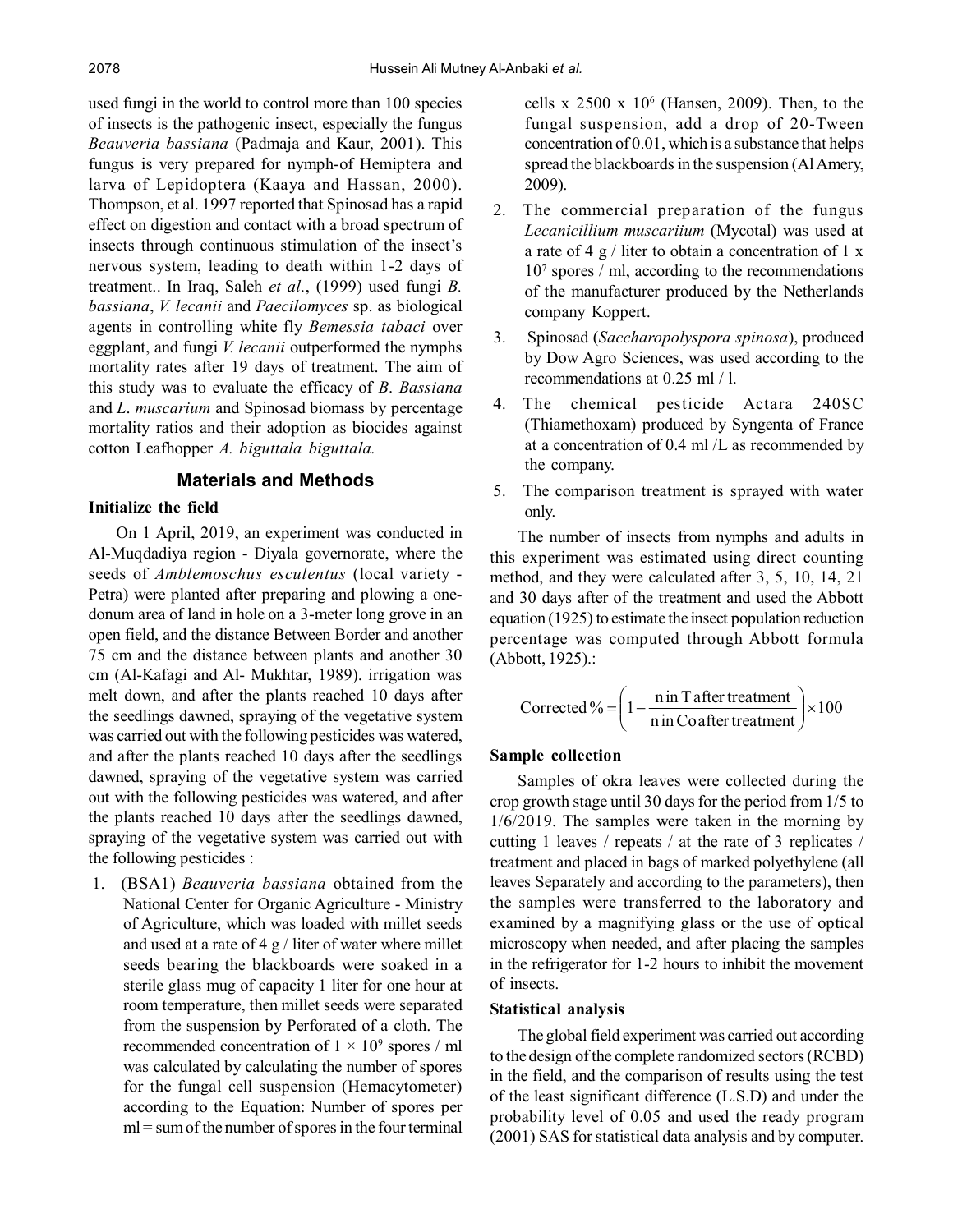used fungi in the world to control more than 100 species of insects is the pathogenic insect, especially the fungus *Beauveria bassiana* (Padmaja and Kaur, 2001). This fungus is very prepared for nymph-of Hemiptera and larva of Lepidoptera (Kaaya and Hassan, 2000). Thompson, et al. 1997 reported that Spinosad has a rapid effect on digestion and contact with a broad spectrum of insects through continuous stimulation of the insect's nervous system, leading to death within 1-2 days of treatment.. In Iraq, Saleh *et al.*, (1999) used fungi *B. bassiana*, *V. lecanii* and *Paecilomyces* sp. as biological agents in controlling white fly *Bemessia tabaci* over eggplant, and fungi *V. lecanii* outperformed the nymphs mortality rates after 19 days of treatment. The aim of this study was to evaluate the efficacy of *B*. *Bassiana* and *L*. *muscarium* and Spinosad biomass by percentage mortality ratios and their adoption as biocides against cotton Leafhopper *A. biguttala biguttala.*

# **Materials and Methods**

# **Initialize the field**

On 1 April, 2019, an experiment was conducted in Al-Muqdadiya region - Diyala governorate, where the seeds of *Amblemoschus esculentus* (local variety - Petra) were planted after preparing and plowing a onedonum area of land in hole on a 3-meter long grove in an open field, and the distance Between Border and another 75 cm and the distance between plants and another 30 cm (Al-Kafagi and Al- Mukhtar, 1989). irrigation was melt down, and after the plants reached 10 days after the seedlings dawned, spraying of the vegetative system was carried out with the following pesticides was watered, and after the plants reached 10 days after the seedlings dawned, spraying of the vegetative system was carried out with the following pesticides was watered, and after the plants reached 10 days after the seedlings dawned, spraying of the vegetative system was carried out with the following pesticides :

1. (BSA1) *Beauveria bassiana* obtained from the National Center for Organic Agriculture - Ministry of Agriculture, which was loaded with millet seeds and used at a rate of  $4 \text{ g}$  / liter of water where millet seeds bearing the blackboards were soaked in a sterile glass mug of capacity 1 liter for one hour at room temperature, then millet seeds were separated from the suspension by Perforated of a cloth. The recommended concentration of  $1 \times 10^9$  spores / ml was calculated by calculating the number of spores for the fungal cell suspension (Hemacytometer) according to the Equation: Number of spores per ml = sum of the number of spores in the four terminal

cells x  $2500 \times 10^6$  (Hansen, 2009). Then, to the fungal suspension, add a drop of 20-Tween concentration of 0.01, which is a substance that helps spread the blackboards in the suspension (Al Amery, 2009).

- 2. The commercial preparation of the fungus *Lecanicillium muscariium* (Mycotal) was used at a rate of 4  $\frac{g}{\text{}}$  liter to obtain a concentration of 1 x 10<sup>7</sup> spores / ml, according to the recommendations of the manufacturer produced by the Netherlands company Koppert.
- 3. Spinosad (*Saccharopolyspora spinosa*), produced by Dow Agro Sciences, was used according to the recommendations at 0.25 ml / l.
- 4. The chemical pesticide Actara 240SC (Thiamethoxam) produced by Syngenta of France at a concentration of 0.4 ml /L as recommended by the company.
- 5. The comparison treatment is sprayed with water only.

The number of insects from nymphs and adults in this experiment was estimated using direct counting method, and they were calculated after 3, 5, 10, 14, 21 and 30 days after of the treatment and used the Abbott equation (1925) to estimate the insect population reduction percentage was computed through Abbott formula (Abbott, 1925).:

$$
Corrected\% = \left(1 - \frac{\text{n in T after treatment}}{\text{n in Coafter treatment}}\right) \times 100
$$

## **Sample collection**

Samples of okra leaves were collected during the crop growth stage until 30 days for the period from 1/5 to 1/6/2019. The samples were taken in the morning by cutting 1 leaves / repeats / at the rate of 3 replicates / treatment and placed in bags of marked polyethylene (all leaves Separately and according to the parameters), then the samples were transferred to the laboratory and examined by a magnifying glass or the use of optical microscopy when needed, and after placing the samples in the refrigerator for 1-2 hours to inhibit the movement of insects.

## **Statistical analysis**

The global field experiment was carried out according to the design of the complete randomized sectors (RCBD) in the field, and the comparison of results using the test of the least significant difference (L.S.D) and under the probability level of 0.05 and used the ready program (2001) SAS for statistical data analysis and by computer.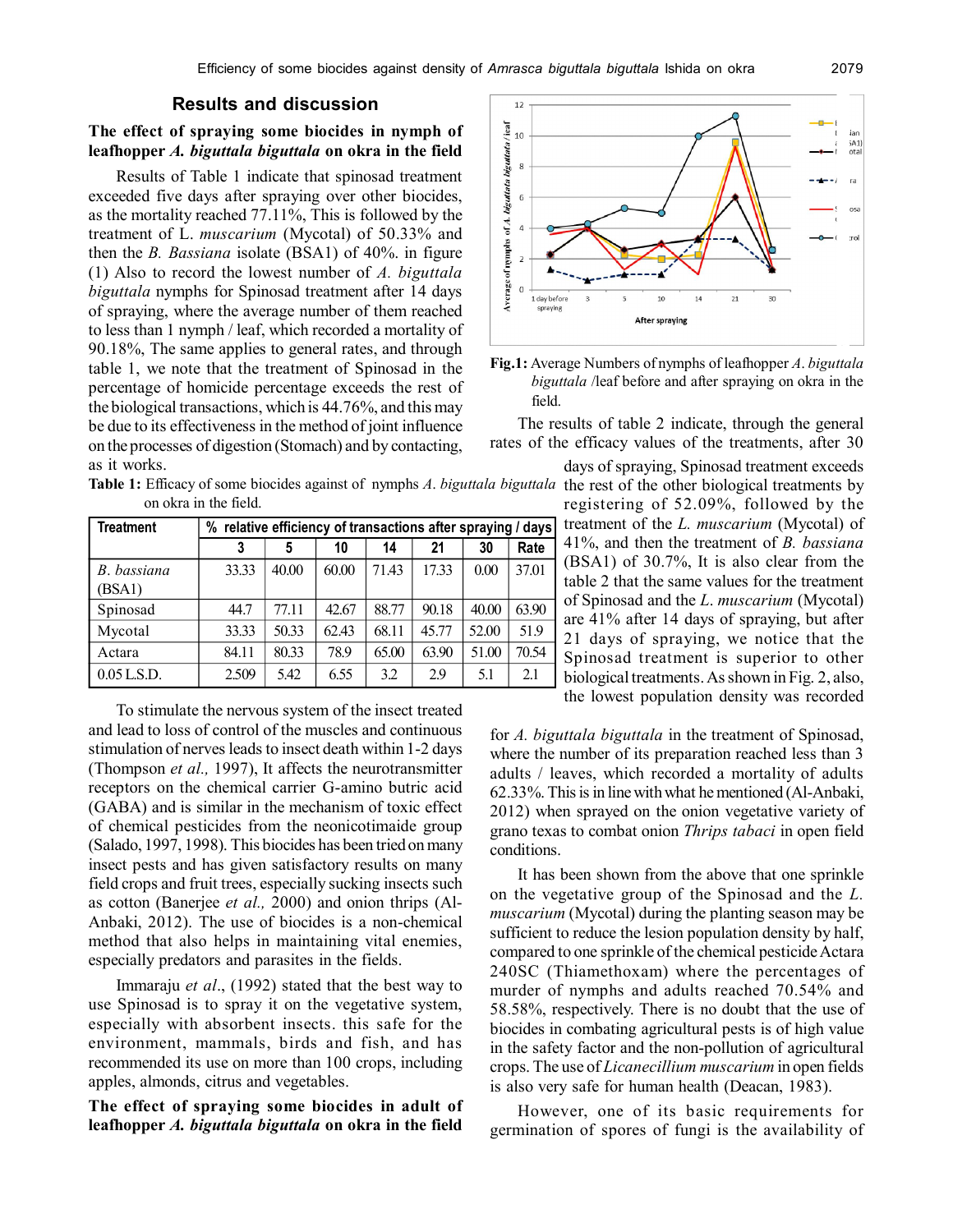# **Results and discussion**

#### **The effect of spraying some biocides in nymph of leafhopper** *A. biguttala biguttala* **on okra in the field**

Results of Table 1 indicate that spinosad treatment exceeded five days after spraying over other biocides, as the mortality reached 77.11%, This is followed by the treatment of L. *muscarium* (Mycotal) of 50.33% and then the *B. Bassiana* isolate (BSA1) of 40%. in figure (1) Also to record the lowest number of *A. biguttala biguttala* nymphs for Spinosad treatment after 14 days of spraying, where the average number of them reached to less than 1 nymph / leaf, which recorded a mortality of 90.18%, The same applies to general rates, and through table 1, we note that the treatment of Spinosad in the percentage of homicide percentage exceeds the rest of the biological transactions, which is 44.76%, and this may be due to its effectiveness in the method of joint influence on the processes of digestion (Stomach) and by contacting, as it works.

Table 1: Efficacy of some biocides against of nymphs *A*. *biguttala biguttala* the rest of the other biological treatments by on okra in the field.

| <b>Treatment</b>      | % relative efficiency of transactions after spraying / days |       |       |       |       |       |       |  |  |  |
|-----------------------|-------------------------------------------------------------|-------|-------|-------|-------|-------|-------|--|--|--|
|                       | 3                                                           |       | 10    | 14    | 21    | 30    | Rate  |  |  |  |
| B. bassiana<br>(BSA1) | 33.33                                                       | 40.00 | 60.00 | 71.43 | 17.33 | 0.00  | 37.01 |  |  |  |
| Spinosad              | 44.7                                                        | 77.11 | 42.67 | 88.77 | 90.18 | 40.00 | 63.90 |  |  |  |
| Mycotal               | 33.33                                                       | 50.33 | 62.43 | 68.11 | 45.77 | 52.00 | 51.9  |  |  |  |
| Actara                | 84.11                                                       | 80.33 | 78.9  | 65.00 | 63.90 | 51.00 | 70.54 |  |  |  |
| $0.05$ L.S.D.         | 2.509                                                       | 5.42  | 6.55  | 3.2   | 2.9   | 5.1   | 2.1   |  |  |  |

To stimulate the nervous system of the insect treated and lead to loss of control of the muscles and continuous stimulation of nerves leads to insect death within 1-2 days (Thompson *et al.,* 1997), It affects the neurotransmitter receptors on the chemical carrier G-amino butric acid (GABA) and is similar in the mechanism of toxic effect of chemical pesticides from the neonicotimaide group (Salado, 1997, 1998). This biocides has been tried on many insect pests and has given satisfactory results on many field crops and fruit trees, especially sucking insects such as cotton (Banerjee *et al.,* 2000) and onion thrips (Al-Anbaki, 2012). The use of biocides is a non-chemical method that also helps in maintaining vital enemies, especially predators and parasites in the fields.

Immaraju *et al*., (1992) stated that the best way to use Spinosad is to spray it on the vegetative system, especially with absorbent insects. this safe for the environment, mammals, birds and fish, and has recommended its use on more than 100 crops, including apples, almonds, citrus and vegetables.

**The effect of spraying some biocides in adult of leafhopper** *A. biguttala biguttala* **on okra in the field**



**Fig.1:** Average Numbers of nymphs of leafhopper *A*. *biguttala biguttala* /leaf before and after spraying on okra in the field.

The results of table 2 indicate, through the general rates of the efficacy values of the treatments, after 30

> days of spraying, Spinosad treatment exceeds registering of 52.09%, followed by the treatment of the *L. muscarium* (Mycotal) of 41%, and then the treatment of *B. bassiana* (BSA1) of 30.7%, It is also clear from the table 2 that the same values for the treatment of Spinosad and the *L*. *muscarium* (Mycotal) are 41% after 14 days of spraying, but after 21 days of spraying, we notice that the Spinosad treatment is superior to other biological treatments. As shown in Fig. 2, also, the lowest population density was recorded

for *A. biguttala biguttala* in the treatment of Spinosad, where the number of its preparation reached less than 3 adults / leaves, which recorded a mortality of adults 62.33%. This is in line with what he mentioned (Al-Anbaki, 2012) when sprayed on the onion vegetative variety of grano texas to combat onion *Thrips tabaci* in open field conditions.

It has been shown from the above that one sprinkle on the vegetative group of the Spinosad and the *L. muscarium* (Mycotal) during the planting season may be sufficient to reduce the lesion population density by half, compared to one sprinkle of the chemical pesticide Actara 240SC (Thiamethoxam) where the percentages of murder of nymphs and adults reached 70.54% and 58.58%, respectively. There is no doubt that the use of biocides in combating agricultural pests is of high value in the safety factor and the non-pollution of agricultural crops. The use of *Licanecillium muscarium* in open fields is also very safe for human health (Deacan, 1983).

However, one of its basic requirements for germination of spores of fungi is the availability of